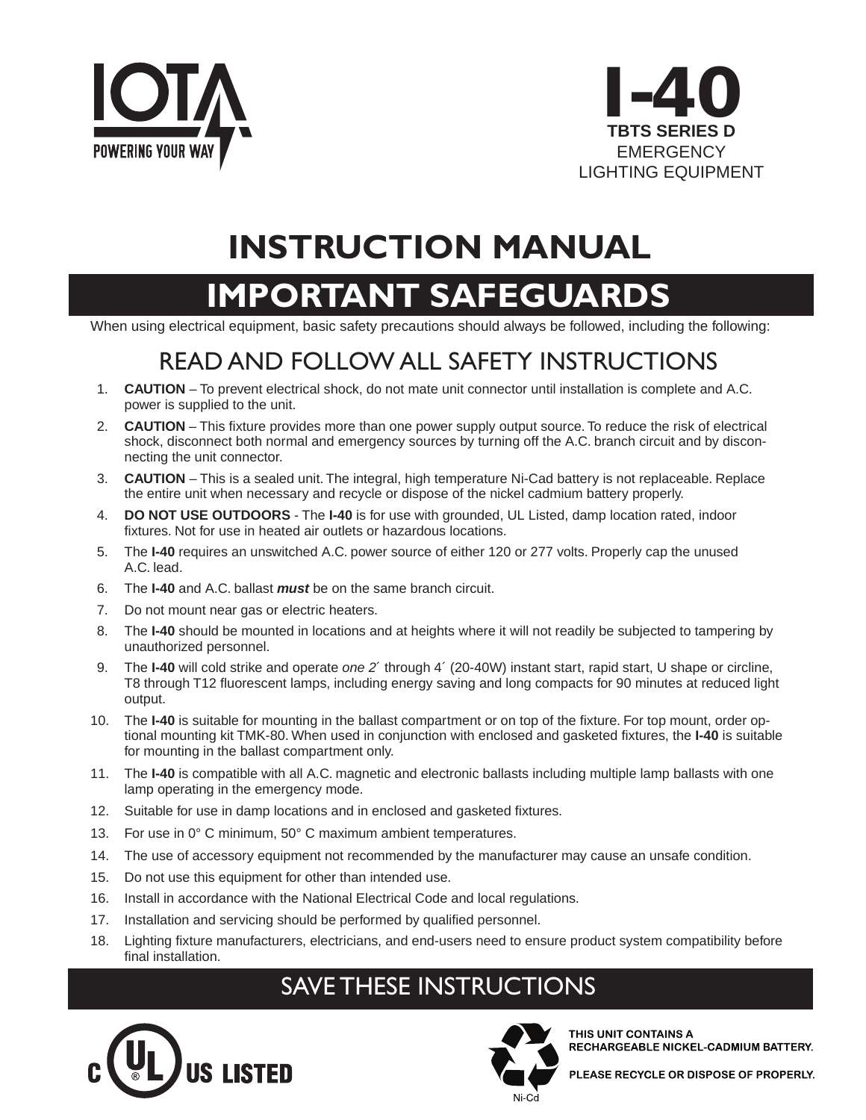



# **INSTRUCTION MANUAL**

## **IMPORTANT SAFEGUARDS**

When using electrical equipment, basic safety precautions should always be followed, including the following:

### READ AND FOLLOW ALL SAFETY INSTRUCTIONS

- 1. **CAUTION**  To prevent electrical shock, do not mate unit connector until installation is complete and A.C. power is supplied to the unit.
- 2. **CAUTION**  This fixture provides more than one power supply output source. To reduce the risk of electrical shock, disconnect both normal and emergency sources by turning off the A.C. branch circuit and by disconnecting the unit connector.
- 3. **CAUTION**  This is a sealed unit. The integral, high temperature Ni-Cad battery is not replaceable. Replace the entire unit when necessary and recycle or dispose of the nickel cadmium battery properly.
- 4. **DO NOT USE OUTDOORS** The **I-40** is for use with grounded, UL Listed, damp location rated, indoor fixtures. Not for use in heated air outlets or hazardous locations.
- 5. The **I-40** requires an unswitched A.C. power source of either 120 or 277 volts. Properly cap the unused A.C. lead.
- 6. The **I-40** and A.C. ballast *must* be on the same branch circuit.
- 7. Do not mount near gas or electric heaters.
- 8. The **I-40** should be mounted in locations and at heights where it will not readily be subjected to tampering by unauthorized personnel.
- 9. The **I-40** will cold strike and operate *one 2*´ through 4´ (20-40W) instant start, rapid start, U shape or circline, T8 through T12 fluorescent lamps, including energy saving and long compacts for 90 minutes at reduced light output.
- 10. The **I-40** is suitable for mounting in the ballast compartment or on top of the fixture. For top mount, order optional mounting kit TMK-80. When used in conjunction with enclosed and gasketed fixtures, the **I-40** is suitable for mounting in the ballast compartment only.
- 11. The **I-40** is compatible with all A.C. magnetic and electronic ballasts including multiple lamp ballasts with one lamp operating in the emergency mode.
- 12. Suitable for use in damp locations and in enclosed and gasketed fixtures.
- 13. For use in 0° C minimum, 50° C maximum ambient temperatures.
- 14. The use of accessory equipment not recommended by the manufacturer may cause an unsafe condition.
- 15. Do not use this equipment for other than intended use.
- 16. Install in accordance with the National Electrical Code and local regulations.
- 17. Installation and servicing should be performed by qualified personnel.
- 18. Lighting fixture manufacturers, electricians, and end-users need to ensure product system compatibility before final installation.

### SAVE THESE INSTRUCTIONS





THIS UNIT CONTAINS A RECHARGEABLE NICKEL-CADMIUM BATTERY.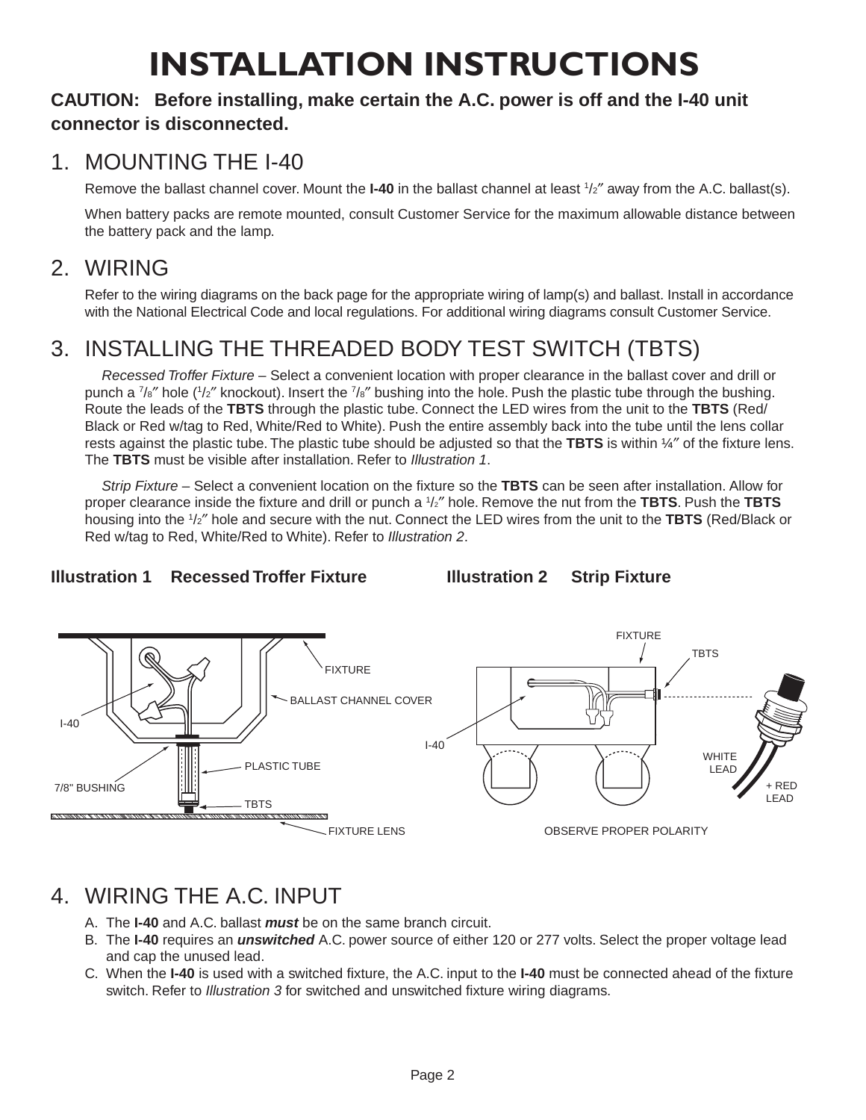# **INSTALLATION INSTRUCTIONS**

#### **CAUTION: Before installing, make certain the A.C. power is off and the I-40 unit connector is disconnected.**

#### 1. MOUNTING THE I-40

Remove the ballast channel cover. Mount the **I-40** in the ballast channel at least  $1/z''$  away from the A.C. ballast(s).

 When battery packs are remote mounted, consult Customer Service for the maximum allowable distance between the battery pack and the lamp.

#### 2. WIRING

 Refer to the wiring diagrams on the back page for the appropriate wiring of lamp(s) and ballast. Install in accordance with the National Electrical Code and local regulations. For additional wiring diagrams consult Customer Service.

### 3. INSTALLING THE THREADED BODY TEST SWITCH (TBTS)

 *Recessed Troffer Fixture* – Select a convenient location with proper clearance in the ballast cover and drill or punch a  $\frac{7}{8}$  hole ( $\frac{1}{2}$  knockout). Insert the  $\frac{7}{8}$  bushing into the hole. Push the plastic tube through the bushing. Route the leads of the **TBTS** through the plastic tube. Connect the LED wires from the unit to the **TBTS** (Red/ Black or Red w/tag to Red, White/Red to White). Push the entire assembly back into the tube until the lens collar rests against the plastic tube. The plastic tube should be adjusted so that the **TBTS** is within ¼″ of the fixture lens. The **TBTS** must be visible after installation. Refer to *Illustration 1*.

 *Strip Fixture* – Select a convenient location on the fixture so the **TBTS** can be seen after installation. Allow for proper clearance inside the fixture and drill or punch a 1 /2″ hole. Remove the nut from the **TBTS**. Push the **TBTS** housing into the 1 /2″ hole and secure with the nut. Connect the LED wires from the unit to the **TBTS** (Red/Black or Red w/tag to Red, White/Red to White). Refer to *Illustration 2*.





### 4. WIRING THE A.C. INPUT

- A. The **I-40** and A.C. ballast *must* be on the same branch circuit.
- B. The **I-40** requires an *unswitched* A.C. power source of either 120 or 277 volts. Select the proper voltage lead and cap the unused lead.
- C. When the **I-40** is used with a switched fixture, the A.C. input to the **I-40** must be connected ahead of the fixture switch. Refer to *Illustration 3* for switched and unswitched fixture wiring diagrams.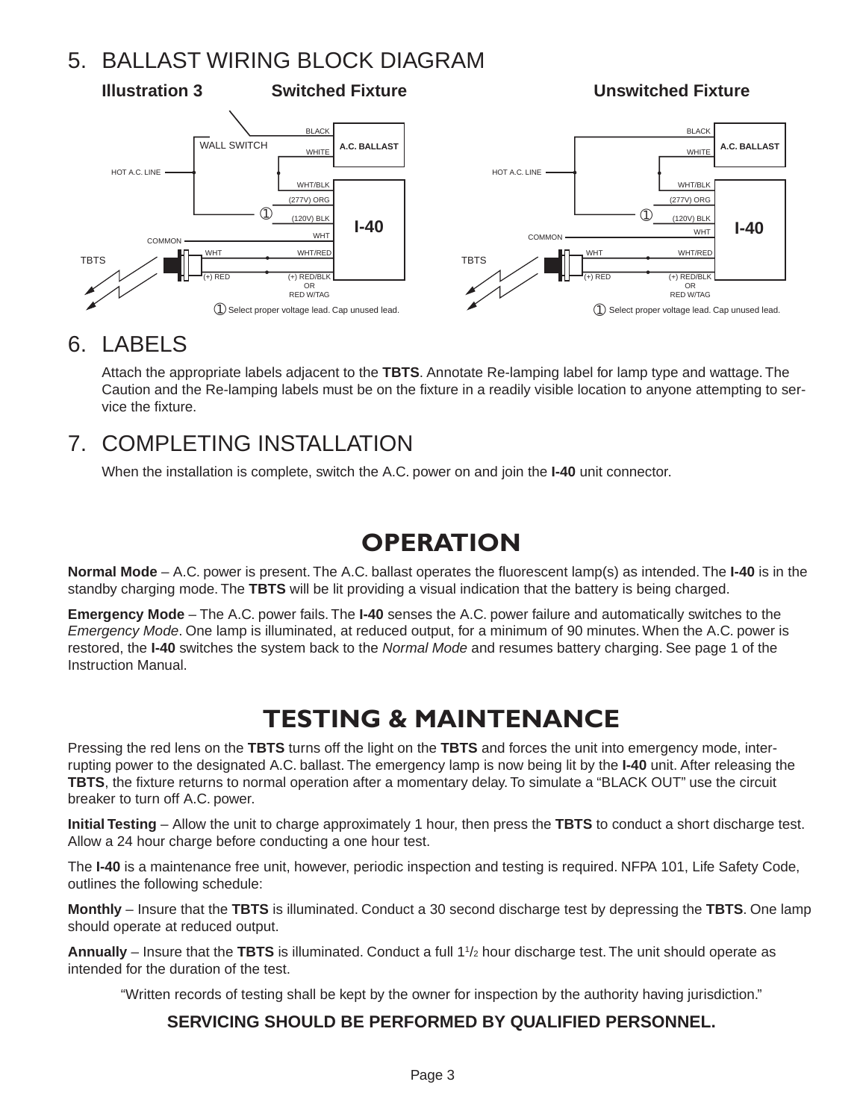### 5. BALLAST WIRING BLOCK DIAGRAM



#### 6. LABELS

 Attach the appropriate labels adjacent to the **TBTS**. Annotate Re-lamping label for lamp type and wattage. The Caution and the Re-lamping labels must be on the fixture in a readily visible location to anyone attempting to service the fixture.

### 7. COMPLETING INSTALLATION

When the installation is complete, switch the A.C. power on and join the **I-40** unit connector.

### **OPERATION**

**Normal Mode** – A.C. power is present. The A.C. ballast operates the fluorescent lamp(s) as intended. The **I-40** is in the standby charging mode. The **TBTS** will be lit providing a visual indication that the battery is being charged.

**Emergency Mode** – The A.C. power fails. The **I-40** senses the A.C. power failure and automatically switches to the *Emergency Mode*. One lamp is illuminated, at reduced output, for a minimum of 90 minutes. When the A.C. power is restored, the **I-40** switches the system back to the *Normal Mode* and resumes battery charging. See page 1 of the Instruction Manual.

### **TESTING & MAINTENANCE**

Pressing the red lens on the **TBTS** turns off the light on the **TBTS** and forces the unit into emergency mode, interrupting power to the designated A.C. ballast. The emergency lamp is now being lit by the **I-40** unit. After releasing the **TBTS**, the fixture returns to normal operation after a momentary delay. To simulate a "BLACK OUT" use the circuit breaker to turn off A.C. power.

**Initial Testing** – Allow the unit to charge approximately 1 hour, then press the **TBTS** to conduct a short discharge test. Allow a 24 hour charge before conducting a one hour test.

The **I-40** is a maintenance free unit, however, periodic inspection and testing is required. NFPA 101, Life Safety Code, outlines the following schedule:

**Monthly** – Insure that the **TBTS** is illuminated. Conduct a 30 second discharge test by depressing the **TBTS**. One lamp should operate at reduced output.

Annually – Insure that the TBTS is illuminated. Conduct a full 1<sup>1</sup>/<sub>2</sub> hour discharge test. The unit should operate as intended for the duration of the test.

"Written records of testing shall be kept by the owner for inspection by the authority having jurisdiction."

#### **SERVICING SHOULD BE PERFORMED BY QUALIFIED PERSONNEL.**